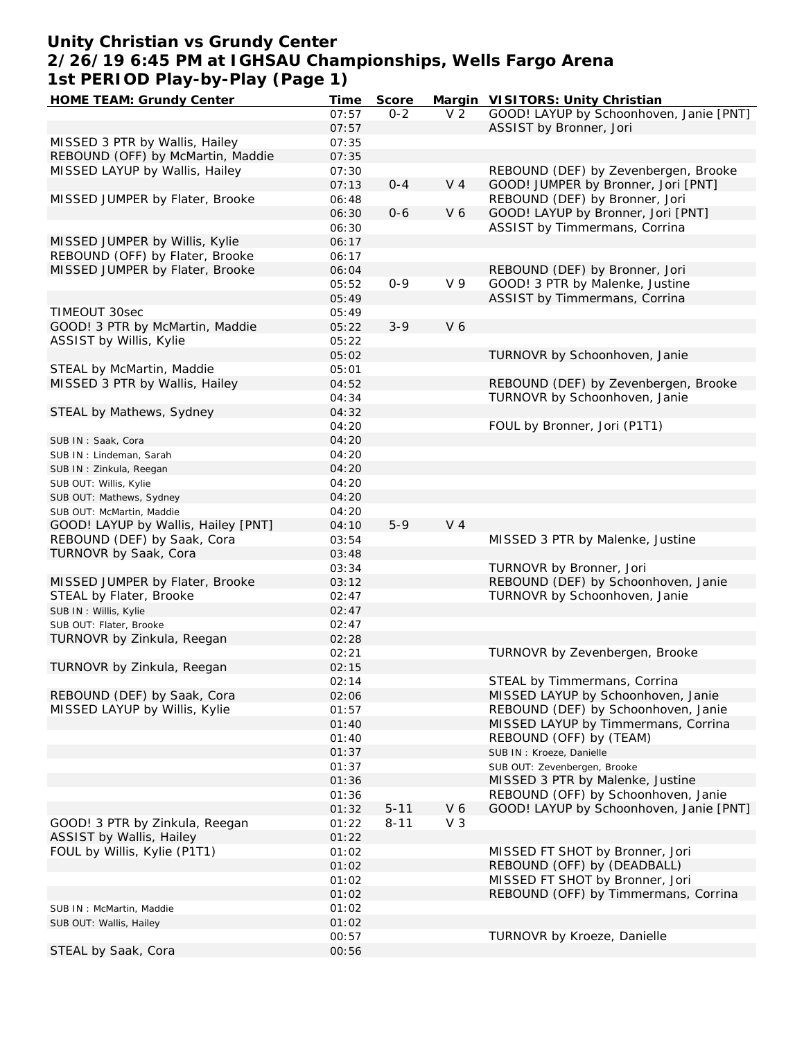## **Unity Christian vs Grundy Center 2/26/19 6:45 PM at IGHSAU Championships, Wells Fargo Arena 1st PERIOD Play-by-Play (Page 1)**

| HOME TEAM: Grundy Center            | Time  | Score    |                | Margin VISITORS: Unity Christian        |
|-------------------------------------|-------|----------|----------------|-----------------------------------------|
|                                     | 07:57 | $0 - 2$  | V <sub>2</sub> | GOOD! LAYUP by Schoonhoven, Janie [PNT] |
|                                     | 07:57 |          |                | ASSIST by Bronner, Jori                 |
| MISSED 3 PTR by Wallis, Hailey      | 07:35 |          |                |                                         |
| REBOUND (OFF) by McMartin, Maddie   | 07:35 |          |                |                                         |
| MISSED LAYUP by Wallis, Hailey      | 07:30 |          |                | REBOUND (DEF) by Zevenbergen, Brooke    |
|                                     | 07:13 | $0 - 4$  | V <sub>4</sub> | GOOD! JUMPER by Bronner, Jori [PNT]     |
| MISSED JUMPER by Flater, Brooke     | 06:48 |          |                | REBOUND (DEF) by Bronner, Jori          |
|                                     |       |          | V6             |                                         |
|                                     | 06:30 | $0 - 6$  |                | GOOD! LAYUP by Bronner, Jori [PNT]      |
|                                     | 06:30 |          |                | ASSIST by Timmermans, Corrina           |
| MISSED JUMPER by Willis, Kylie      | 06:17 |          |                |                                         |
| REBOUND (OFF) by Flater, Brooke     | 06:17 |          |                |                                         |
| MISSED JUMPER by Flater, Brooke     | 06:04 |          |                | REBOUND (DEF) by Bronner, Jori          |
|                                     | 05:52 | $0 - 9$  | V <sub>9</sub> | GOOD! 3 PTR by Malenke, Justine         |
|                                     | 05:49 |          |                | ASSIST by Timmermans, Corrina           |
| TIMEOUT 30sec                       | 05:49 |          |                |                                         |
| GOOD! 3 PTR by McMartin, Maddie     | 05:22 | $3 - 9$  | V6             |                                         |
| ASSIST by Willis, Kylie             | 05:22 |          |                |                                         |
|                                     | 05:02 |          |                | TURNOVR by Schoonhoven, Janie           |
| STEAL by McMartin, Maddie           | 05:01 |          |                |                                         |
| MISSED 3 PTR by Wallis, Hailey      | 04:52 |          |                | REBOUND (DEF) by Zevenbergen, Brooke    |
|                                     | 04:34 |          |                | TURNOVR by Schoonhoven, Janie           |
|                                     |       |          |                |                                         |
| STEAL by Mathews, Sydney            | 04:32 |          |                |                                         |
|                                     | 04:20 |          |                | FOUL by Bronner, Jori (P1T1)            |
| SUB IN: Saak, Cora                  | 04:20 |          |                |                                         |
| SUB IN: Lindeman, Sarah             | 04:20 |          |                |                                         |
| SUB IN: Zinkula, Reegan             | 04:20 |          |                |                                         |
| SUB OUT: Willis, Kylie              | 04:20 |          |                |                                         |
| SUB OUT: Mathews, Sydney            | 04:20 |          |                |                                         |
| SUB OUT: McMartin, Maddie           | 04:20 |          |                |                                         |
| GOOD! LAYUP by Wallis, Hailey [PNT] | 04:10 | $5 - 9$  | V <sub>4</sub> |                                         |
| REBOUND (DEF) by Saak, Cora         | 03:54 |          |                | MISSED 3 PTR by Malenke, Justine        |
| TURNOVR by Saak, Cora               | 03:48 |          |                |                                         |
|                                     | 03:34 |          |                | TURNOVR by Bronner, Jori                |
| MISSED JUMPER by Flater, Brooke     | 03:12 |          |                | REBOUND (DEF) by Schoonhoven, Janie     |
| STEAL by Flater, Brooke             | 02:47 |          |                | TURNOVR by Schoonhoven, Janie           |
|                                     |       |          |                |                                         |
| SUB IN : Willis, Kylie              | 02:47 |          |                |                                         |
| SUB OUT: Flater, Brooke             | 02:47 |          |                |                                         |
| TURNOVR by Zinkula, Reegan          | 02:28 |          |                |                                         |
|                                     | 02:21 |          |                | TURNOVR by Zevenbergen, Brooke          |
| TURNOVR by Zinkula, Reegan          | 02:15 |          |                |                                         |
|                                     | 02:14 |          |                | STEAL by Timmermans, Corrina            |
| REBOUND (DEF) by Saak, Cora         | 02:06 |          |                | MISSED LAYUP by Schoonhoven, Janie      |
| MISSED LAYUP by Willis, Kylie       | 01:57 |          |                | REBOUND (DEF) by Schoonhoven, Janie     |
|                                     | 01:40 |          |                | MISSED LAYUP by Timmermans, Corrina     |
|                                     | 01:40 |          |                | REBOUND (OFF) by (TEAM)                 |
|                                     | 01:37 |          |                | SUB IN : Kroeze, Danielle               |
|                                     | 01:37 |          |                | SUB OUT: Zevenbergen, Brooke            |
|                                     | 01:36 |          |                | MISSED 3 PTR by Malenke, Justine        |
|                                     |       |          |                | REBOUND (OFF) by Schoonhoven, Janie     |
|                                     | 01:36 |          |                |                                         |
|                                     | 01:32 | $5 - 11$ | V6             | GOOD! LAYUP by Schoonhoven, Janie [PNT] |
| GOOD! 3 PTR by Zinkula, Reegan      | 01:22 | $8 - 11$ | $V_3$          |                                         |
| ASSIST by Wallis, Hailey            | 01:22 |          |                |                                         |
| FOUL by Willis, Kylie (P1T1)        | 01:02 |          |                | MISSED FT SHOT by Bronner, Jori         |
|                                     | 01:02 |          |                | REBOUND (OFF) by (DEADBALL)             |
|                                     | 01:02 |          |                | MISSED FT SHOT by Bronner, Jori         |
|                                     | 01:02 |          |                | REBOUND (OFF) by Timmermans, Corrina    |
| SUB IN: McMartin, Maddie            | 01:02 |          |                |                                         |
| SUB OUT: Wallis, Hailey             | 01:02 |          |                |                                         |
|                                     | 00:57 |          |                | TURNOVR by Kroeze, Danielle             |
| STEAL by Saak, Cora                 | 00:56 |          |                |                                         |
|                                     |       |          |                |                                         |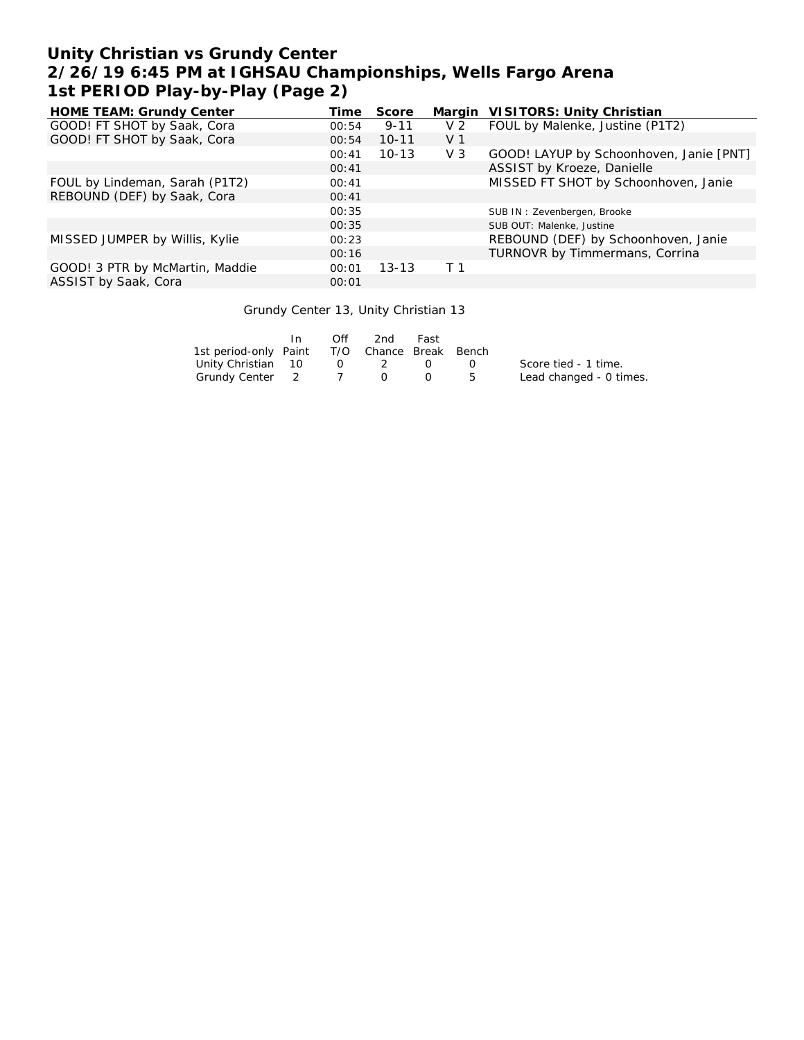## **Unity Christian vs Grundy Center 2/26/19 6:45 PM at IGHSAU Championships, Wells Fargo Arena 1st PERIOD Play-by-Play (Page 2)**

| <b>HOME TEAM: Grundy Center</b> | Time  | Score     | Margin         | VISITORS: Unity Christian               |
|---------------------------------|-------|-----------|----------------|-----------------------------------------|
| GOOD! FT SHOT by Saak, Cora     | 00:54 | $9 - 11$  | V <sub>2</sub> | FOUL by Malenke, Justine (P1T2)         |
| GOOD! FT SHOT by Saak, Cora     | 00:54 | $10 - 11$ | V <sub>1</sub> |                                         |
|                                 | 00:41 | $10 - 13$ | V <sub>3</sub> | GOOD! LAYUP by Schoonhoven, Janie [PNT] |
|                                 | 00:41 |           |                | ASSIST by Kroeze, Danielle              |
| FOUL by Lindeman, Sarah (P1T2)  | 00:41 |           |                | MISSED FT SHOT by Schoonhoven, Janie    |
| REBOUND (DEF) by Saak, Cora     | 00:41 |           |                |                                         |
|                                 | 00:35 |           |                | SUB IN: Zevenbergen, Brooke             |
|                                 | 00:35 |           |                | SUB OUT: Malenke, Justine               |
| MISSED JUMPER by Willis, Kylie  | 00:23 |           |                | REBOUND (DEF) by Schoonhoven, Janie     |
|                                 | 00:16 |           |                | TURNOVR by Timmermans, Corrina          |
| GOOD! 3 PTR by McMartin, Maddie | 00:01 | $13 - 13$ | T <sub>1</sub> |                                         |
| ASSIST by Saak, Cora            | 00:01 |           |                |                                         |

#### Grundy Center 13, Unity Christian 13

|                                              | In. | Off    | 2nd      | Fast |                  |                         |
|----------------------------------------------|-----|--------|----------|------|------------------|-------------------------|
| 1st period-only Paint T/O Chance Break Bench |     |        |          |      |                  |                         |
| Unity Christian 10                           |     | $\cup$ | - 2      |      | $\left( \right)$ | Score tied - 1 time.    |
| Grundy Center 2 7                            |     |        | $\Omega$ |      | $\overline{b}$   | Lead changed - 0 times. |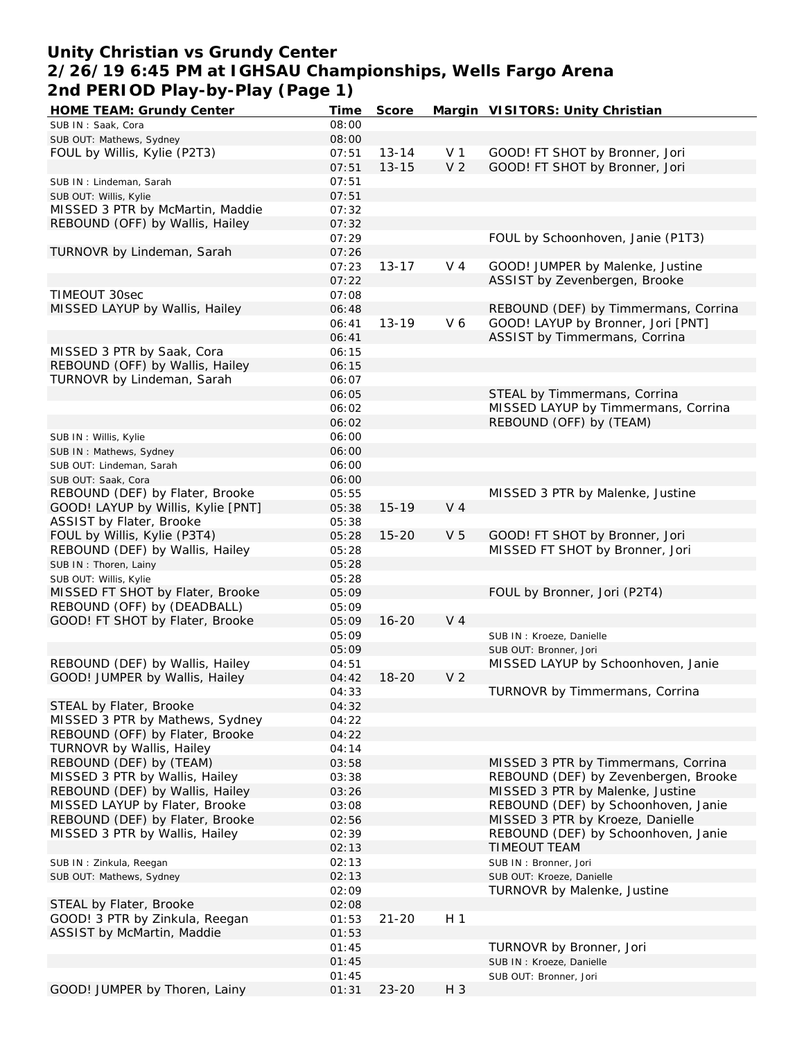## **Unity Christian vs Grundy Center 2/26/19 6:45 PM at IGHSAU Championships, Wells Fargo Arena 2nd PERIOD Play-by-Play (Page 1)**

| <b>HOME TEAM: Grundy Center</b>    | Time  | Score     |                | Margin VISITORS: Unity Christian     |
|------------------------------------|-------|-----------|----------------|--------------------------------------|
| SUB IN: Saak, Cora                 | 08:00 |           |                |                                      |
| SUB OUT: Mathews, Sydney           | 08:00 |           |                |                                      |
| FOUL by Willis, Kylie (P2T3)       | 07:51 | $13 - 14$ | V 1            | GOOD! FT SHOT by Bronner, Jori       |
|                                    | 07:51 | $13 - 15$ | V <sub>2</sub> | GOOD! FT SHOT by Bronner, Jori       |
| SUB IN: Lindeman, Sarah            | 07:51 |           |                |                                      |
|                                    |       |           |                |                                      |
| SUB OUT: Willis, Kylie             | 07:51 |           |                |                                      |
| MISSED 3 PTR by McMartin, Maddie   | 07:32 |           |                |                                      |
| REBOUND (OFF) by Wallis, Hailey    | 07:32 |           |                |                                      |
|                                    | 07:29 |           |                | FOUL by Schoonhoven, Janie (P1T3)    |
| TURNOVR by Lindeman, Sarah         | 07:26 |           |                |                                      |
|                                    | 07:23 | $13 - 17$ | $V_4$          | GOOD! JUMPER by Malenke, Justine     |
|                                    | 07:22 |           |                | ASSIST by Zevenbergen, Brooke        |
| TIMEOUT 30sec                      | 07:08 |           |                |                                      |
| MISSED LAYUP by Wallis, Hailey     | 06:48 |           |                | REBOUND (DEF) by Timmermans, Corrina |
|                                    | 06:41 | $13 - 19$ | V6             | GOOD! LAYUP by Bronner, Jori [PNT]   |
|                                    |       |           |                |                                      |
|                                    | 06:41 |           |                | ASSIST by Timmermans, Corrina        |
| MISSED 3 PTR by Saak, Cora         | 06:15 |           |                |                                      |
| REBOUND (OFF) by Wallis, Hailey    | 06:15 |           |                |                                      |
| TURNOVR by Lindeman, Sarah         | 06:07 |           |                |                                      |
|                                    | 06:05 |           |                | STEAL by Timmermans, Corrina         |
|                                    | 06:02 |           |                | MISSED LAYUP by Timmermans, Corrina  |
|                                    | 06:02 |           |                | REBOUND (OFF) by (TEAM)              |
| SUB IN: Willis, Kylie              | 06:00 |           |                |                                      |
|                                    |       |           |                |                                      |
| SUB IN: Mathews, Sydney            | 06:00 |           |                |                                      |
| SUB OUT: Lindeman, Sarah           | 06:00 |           |                |                                      |
| SUB OUT: Saak, Cora                | 06:00 |           |                |                                      |
| REBOUND (DEF) by Flater, Brooke    | 05:55 |           |                | MISSED 3 PTR by Malenke, Justine     |
| GOOD! LAYUP by Willis, Kylie [PNT] | 05:38 | $15 - 19$ | V <sub>4</sub> |                                      |
| ASSIST by Flater, Brooke           | 05:38 |           |                |                                      |
| FOUL by Willis, Kylie (P3T4)       | 05:28 | $15 - 20$ | V <sub>5</sub> | GOOD! FT SHOT by Bronner, Jori       |
| REBOUND (DEF) by Wallis, Hailey    | 05:28 |           |                | MISSED FT SHOT by Bronner, Jori      |
| SUB IN: Thoren, Lainy              | 05:28 |           |                |                                      |
|                                    |       |           |                |                                      |
| SUB OUT: Willis, Kylie             | 05:28 |           |                |                                      |
| MISSED FT SHOT by Flater, Brooke   | 05:09 |           |                | FOUL by Bronner, Jori (P2T4)         |
| REBOUND (OFF) by (DEADBALL)        | 05:09 |           |                |                                      |
| GOOD! FT SHOT by Flater, Brooke    | 05:09 | $16 - 20$ | V <sub>4</sub> |                                      |
|                                    | 05:09 |           |                | SUB IN : Kroeze, Danielle            |
|                                    | 05:09 |           |                | SUB OUT: Bronner, Jori               |
| REBOUND (DEF) by Wallis, Hailey    | 04:51 |           |                | MISSED LAYUP by Schoonhoven, Janie   |
| GOOD! JUMPER by Wallis, Hailey     | 04:42 | $18 - 20$ | V <sub>2</sub> |                                      |
|                                    | 04:33 |           |                | TURNOVR by Timmermans, Corrina       |
| STEAL by Flater, Brooke            | 04:32 |           |                |                                      |
| MISSED 3 PTR by Mathews, Sydney    | 04:22 |           |                |                                      |
| REBOUND (OFF) by Flater, Brooke    | 04:22 |           |                |                                      |
|                                    |       |           |                |                                      |
| TURNOVR by Wallis, Hailey          | 04:14 |           |                |                                      |
| REBOUND (DEF) by (TEAM)            | 03:58 |           |                | MISSED 3 PTR by Timmermans, Corrina  |
| MISSED 3 PTR by Wallis, Hailey     | 03:38 |           |                | REBOUND (DEF) by Zevenbergen, Brooke |
| REBOUND (DEF) by Wallis, Hailey    | 03:26 |           |                | MISSED 3 PTR by Malenke, Justine     |
| MISSED LAYUP by Flater, Brooke     | 03:08 |           |                | REBOUND (DEF) by Schoonhoven, Janie  |
| REBOUND (DEF) by Flater, Brooke    | 02:56 |           |                | MISSED 3 PTR by Kroeze, Danielle     |
| MISSED 3 PTR by Wallis, Hailey     | 02:39 |           |                | REBOUND (DEF) by Schoonhoven, Janie  |
|                                    | 02:13 |           |                | TIMEOUT TEAM                         |
|                                    |       |           |                |                                      |
| SUB IN: Zinkula, Reegan            | 02:13 |           |                | SUB IN: Bronner, Jori                |
| SUB OUT: Mathews, Sydney           | 02:13 |           |                | SUB OUT: Kroeze, Danielle            |
|                                    | 02:09 |           |                | TURNOVR by Malenke, Justine          |
| STEAL by Flater, Brooke            | 02:08 |           |                |                                      |
| GOOD! 3 PTR by Zinkula, Reegan     | 01:53 | $21 - 20$ | H <sub>1</sub> |                                      |
| ASSIST by McMartin, Maddie         | 01:53 |           |                |                                      |
|                                    | 01:45 |           |                | TURNOVR by Bronner, Jori             |
|                                    | 01:45 |           |                | SUB IN : Kroeze, Danielle            |
|                                    | 01:45 |           |                | SUB OUT: Bronner, Jori               |
| GOOD! JUMPER by Thoren, Lainy      | 01:31 | $23 - 20$ | $H_3$          |                                      |
|                                    |       |           |                |                                      |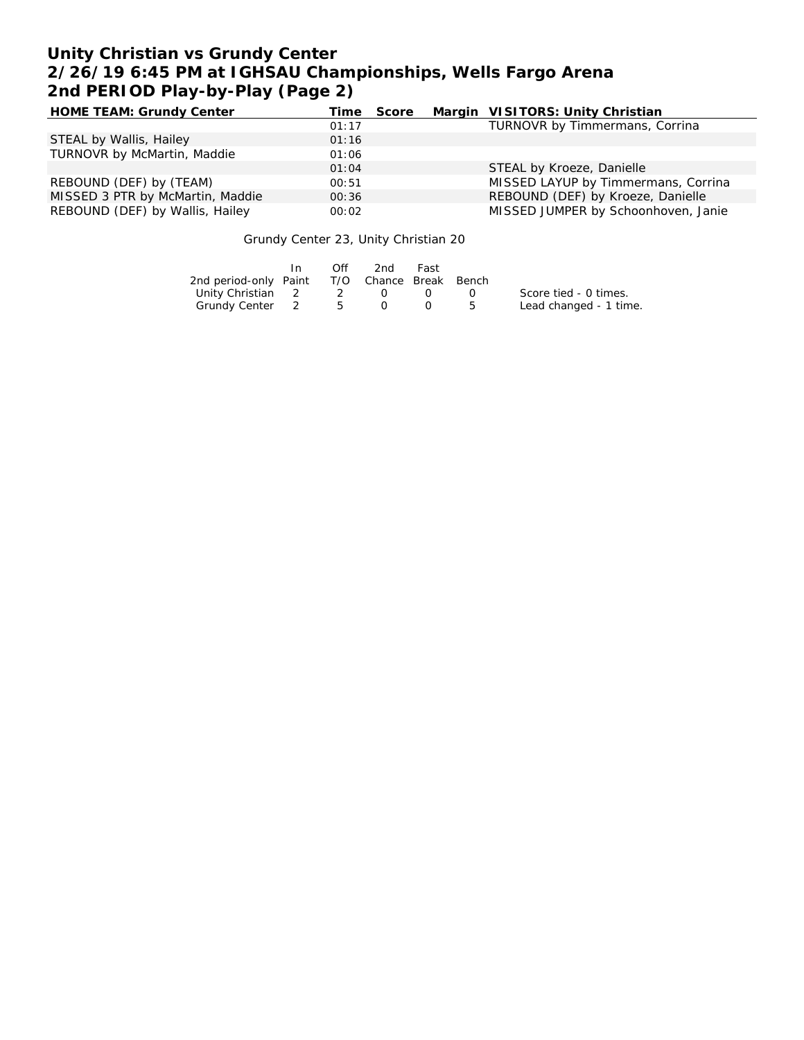# **Unity Christian vs Grundy Center 2/26/19 6:45 PM at IGHSAU Championships, Wells Fargo Arena 2nd PERIOD Play-by-Play (Page 2)**

| HOME TEAM: Grundy Center         | Time  | Score | Margin VISITORS: Unity Christian    |
|----------------------------------|-------|-------|-------------------------------------|
|                                  | 01:17 |       | TURNOVR by Timmermans, Corrina      |
| STEAL by Wallis, Hailey          | 01:16 |       |                                     |
| TURNOVR by McMartin, Maddie      | 01:06 |       |                                     |
|                                  | 01:04 |       | STEAL by Kroeze, Danielle           |
| REBOUND (DEF) by (TEAM)          | 00:51 |       | MISSED LAYUP by Timmermans, Corrina |
| MISSED 3 PTR by McMartin, Maddie | 00:36 |       | REBOUND (DEF) by Kroeze, Danielle   |
| REBOUND (DEF) by Wallis, Hailey  | 00:02 |       | MISSED JUMPER by Schoonhoven, Janie |

#### Grundy Center 23, Unity Christian 20

|                                              | In. | Off            | 2nd              | Fast             |    |                        |
|----------------------------------------------|-----|----------------|------------------|------------------|----|------------------------|
| 2nd period-only Paint T/O Chance Break Bench |     |                |                  |                  |    |                        |
| Unity Christian 2                            |     | $\overline{2}$ | $\left( \right)$ | $\left( \right)$ |    | Score tied - 0 times.  |
| Grundy Center 2                              |     | $5\degree$     |                  |                  | -5 | Lead changed - 1 time. |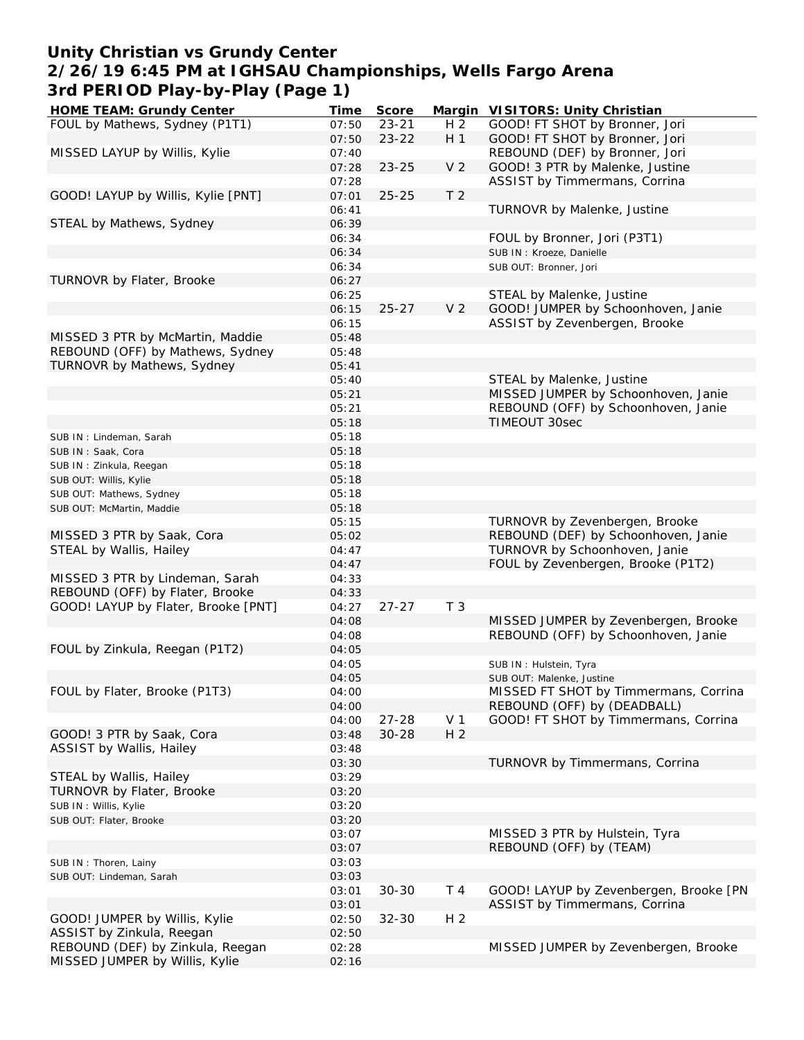## **Unity Christian vs Grundy Center 2/26/19 6:45 PM at IGHSAU Championships, Wells Fargo Arena 3rd PERIOD Play-by-Play (Page 1)**

| HOME TEAM: Grundy Center            | Time           | Score     |                | Margin VISITORS: Unity Christian                                    |
|-------------------------------------|----------------|-----------|----------------|---------------------------------------------------------------------|
| FOUL by Mathews, Sydney (P1T1)      | 07:50          | $23 - 21$ | H <sub>2</sub> | GOOD! FT SHOT by Bronner, Jori                                      |
|                                     | 07:50          | $23 - 22$ | H <sub>1</sub> | GOOD! FT SHOT by Bronner, Jori                                      |
| MISSED LAYUP by Willis, Kylie       | 07:40          |           |                | REBOUND (DEF) by Bronner, Jori                                      |
|                                     | 07:28          | $23 - 25$ | V <sub>2</sub> | GOOD! 3 PTR by Malenke, Justine                                     |
|                                     | 07:28          |           |                | ASSIST by Timmermans, Corrina                                       |
| GOOD! LAYUP by Willis, Kylie [PNT]  | 07:01          | $25 - 25$ | T <sub>2</sub> |                                                                     |
|                                     | 06:41          |           |                | TURNOVR by Malenke, Justine                                         |
| STEAL by Mathews, Sydney            | 06:39          |           |                |                                                                     |
|                                     | 06:34          |           |                | FOUL by Bronner, Jori (P3T1)                                        |
|                                     | 06:34          |           |                | SUB IN: Kroeze, Danielle                                            |
|                                     | 06:34          |           |                | SUB OUT: Bronner, Jori                                              |
| TURNOVR by Flater, Brooke           | 06:27          |           |                |                                                                     |
|                                     | 06:25          |           | V <sub>2</sub> | STEAL by Malenke, Justine                                           |
|                                     | 06:15          | $25 - 27$ |                | GOOD! JUMPER by Schoonhoven, Janie<br>ASSIST by Zevenbergen, Brooke |
| MISSED 3 PTR by McMartin, Maddie    | 06:15<br>05:48 |           |                |                                                                     |
| REBOUND (OFF) by Mathews, Sydney    | 05:48          |           |                |                                                                     |
| TURNOVR by Mathews, Sydney          | 05:41          |           |                |                                                                     |
|                                     | 05:40          |           |                | STEAL by Malenke, Justine                                           |
|                                     | 05:21          |           |                | MISSED JUMPER by Schoonhoven, Janie                                 |
|                                     | 05:21          |           |                | REBOUND (OFF) by Schoonhoven, Janie                                 |
|                                     | 05:18          |           |                | TIMEOUT 30sec                                                       |
| SUB IN: Lindeman, Sarah             | 05:18          |           |                |                                                                     |
| SUB IN: Saak, Cora                  | 05:18          |           |                |                                                                     |
| SUB IN: Zinkula, Reegan             | 05:18          |           |                |                                                                     |
| SUB OUT: Willis, Kylie              | 05:18          |           |                |                                                                     |
| SUB OUT: Mathews, Sydney            | 05:18          |           |                |                                                                     |
| SUB OUT: McMartin, Maddie           | 05:18          |           |                |                                                                     |
|                                     | 05:15          |           |                | TURNOVR by Zevenbergen, Brooke                                      |
| MISSED 3 PTR by Saak, Cora          | 05:02          |           |                | REBOUND (DEF) by Schoonhoven, Janie                                 |
| STEAL by Wallis, Hailey             | 04:47          |           |                | TURNOVR by Schoonhoven, Janie                                       |
|                                     | 04:47          |           |                | FOUL by Zevenbergen, Brooke (P1T2)                                  |
| MISSED 3 PTR by Lindeman, Sarah     | 04:33          |           |                |                                                                     |
| REBOUND (OFF) by Flater, Brooke     | 04:33          |           |                |                                                                     |
| GOOD! LAYUP by Flater, Brooke [PNT] | 04:27          | $27 - 27$ | T <sub>3</sub> |                                                                     |
|                                     | 04:08          |           |                | MISSED JUMPER by Zevenbergen, Brooke                                |
|                                     | 04:08          |           |                | REBOUND (OFF) by Schoonhoven, Janie                                 |
| FOUL by Zinkula, Reegan (P1T2)      | 04:05          |           |                |                                                                     |
|                                     | 04:05          |           |                | SUB IN: Hulstein, Tyra                                              |
|                                     | 04:05          |           |                | SUB OUT: Malenke, Justine                                           |
| FOUL by Flater, Brooke (P1T3)       | 04:00          |           |                | MISSED FT SHOT by Timmermans, Corrina                               |
|                                     | 04:00          |           |                | REBOUND (OFF) by (DEADBALL)                                         |
|                                     | 04:00          | $27 - 28$ | V <sub>1</sub> | GOOD! FT SHOT by Timmermans, Corrina                                |
| GOOD! 3 PTR by Saak, Cora           | 03:48          | $30 - 28$ | H <sub>2</sub> |                                                                     |
| ASSIST by Wallis, Hailey            | 03:48          |           |                |                                                                     |
|                                     | 03:30          |           |                | TURNOVR by Timmermans, Corrina                                      |
| STEAL by Wallis, Hailey             | 03:29          |           |                |                                                                     |
| TURNOVR by Flater, Brooke           | 03:20          |           |                |                                                                     |
| SUB IN: Willis, Kylie               | 03:20          |           |                |                                                                     |
| SUB OUT: Flater, Brooke             | 03:20          |           |                |                                                                     |
|                                     | 03:07<br>03:07 |           |                | MISSED 3 PTR by Hulstein, Tyra<br>REBOUND (OFF) by (TEAM)           |
|                                     |                |           |                |                                                                     |
| SUB IN: Thoren, Lainy               | 03:03<br>03:03 |           |                |                                                                     |
| SUB OUT: Lindeman, Sarah            | 03:01          | $30 - 30$ | T <sub>4</sub> | GOOD! LAYUP by Zevenbergen, Brooke [PN                              |
|                                     | 03:01          |           |                | ASSIST by Timmermans, Corrina                                       |
| GOOD! JUMPER by Willis, Kylie       | 02:50          | $32 - 30$ | H <sub>2</sub> |                                                                     |
| ASSIST by Zinkula, Reegan           | 02:50          |           |                |                                                                     |
| REBOUND (DEF) by Zinkula, Reegan    | 02:28          |           |                | MISSED JUMPER by Zevenbergen, Brooke                                |
| MISSED JUMPER by Willis, Kylie      | 02:16          |           |                |                                                                     |
|                                     |                |           |                |                                                                     |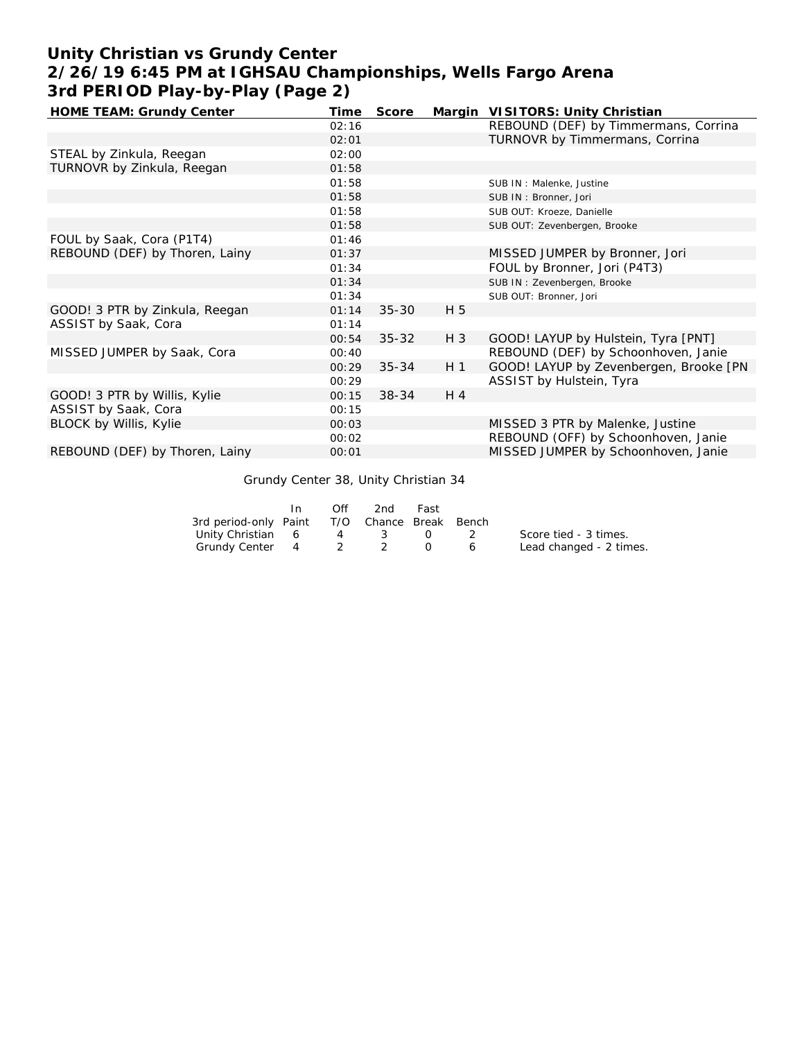# **Unity Christian vs Grundy Center 2/26/19 6:45 PM at IGHSAU Championships, Wells Fargo Arena 3rd PERIOD Play-by-Play (Page 2)**

| HOME TEAM: Grundy Center       | Time  | Score     |                | Margin VISITORS: Unity Christian       |
|--------------------------------|-------|-----------|----------------|----------------------------------------|
|                                | 02:16 |           |                | REBOUND (DEF) by Timmermans, Corrina   |
|                                | 02:01 |           |                | TURNOVR by Timmermans, Corrina         |
| STEAL by Zinkula, Reegan       | 02:00 |           |                |                                        |
| TURNOVR by Zinkula, Reegan     | 01:58 |           |                |                                        |
|                                | 01:58 |           |                | SUB IN : Malenke, Justine              |
|                                | 01:58 |           |                | SUB IN: Bronner, Jori                  |
|                                | 01:58 |           |                | SUB OUT: Kroeze, Danielle              |
|                                | 01:58 |           |                | SUB OUT: Zevenbergen, Brooke           |
| FOUL by Saak, Cora (P1T4)      | 01:46 |           |                |                                        |
| REBOUND (DEF) by Thoren, Lainy | 01:37 |           |                | MISSED JUMPER by Bronner, Jori         |
|                                | 01:34 |           |                | FOUL by Bronner, Jori (P4T3)           |
|                                | 01:34 |           |                | SUB IN: Zevenbergen, Brooke            |
|                                | 01:34 |           |                | SUB OUT: Bronner, Jori                 |
| GOOD! 3 PTR by Zinkula, Reegan | 01:14 | $35 - 30$ | H 5            |                                        |
| ASSIST by Saak, Cora           | 01:14 |           |                |                                        |
|                                | 00:54 | $35 - 32$ | $H_3$          | GOOD! LAYUP by Hulstein, Tyra [PNT]    |
| MISSED JUMPER by Saak, Cora    | 00:40 |           |                | REBOUND (DEF) by Schoonhoven, Janie    |
|                                | 00:29 | $35 - 34$ | H <sub>1</sub> | GOOD! LAYUP by Zevenbergen, Brooke [PN |
|                                | 00:29 |           |                | ASSIST by Hulstein, Tyra               |
| GOOD! 3 PTR by Willis, Kylie   | 00:15 | $38 - 34$ | $H_4$          |                                        |
| ASSIST by Saak, Cora           | 00:15 |           |                |                                        |
| BLOCK by Willis, Kylie         | 00:03 |           |                | MISSED 3 PTR by Malenke, Justine       |
|                                | 00:02 |           |                | REBOUND (OFF) by Schoonhoven, Janie    |
| REBOUND (DEF) by Thoren, Lainy | 00:01 |           |                | MISSED JUMPER by Schoonhoven, Janie    |

Grundy Center 38, Unity Christian 34

|                                              | Off | 2nd | Fast             |          |                         |
|----------------------------------------------|-----|-----|------------------|----------|-------------------------|
| 3rd period-only Paint T/O Chance Break Bench |     |     |                  |          |                         |
| Unity Christian 6                            |     | 4 3 | $\left( \right)$ |          | Score tied - 3 times.   |
| Grundy Center 4 2 2                          |     |     |                  | $\sim$ 6 | Lead changed - 2 times. |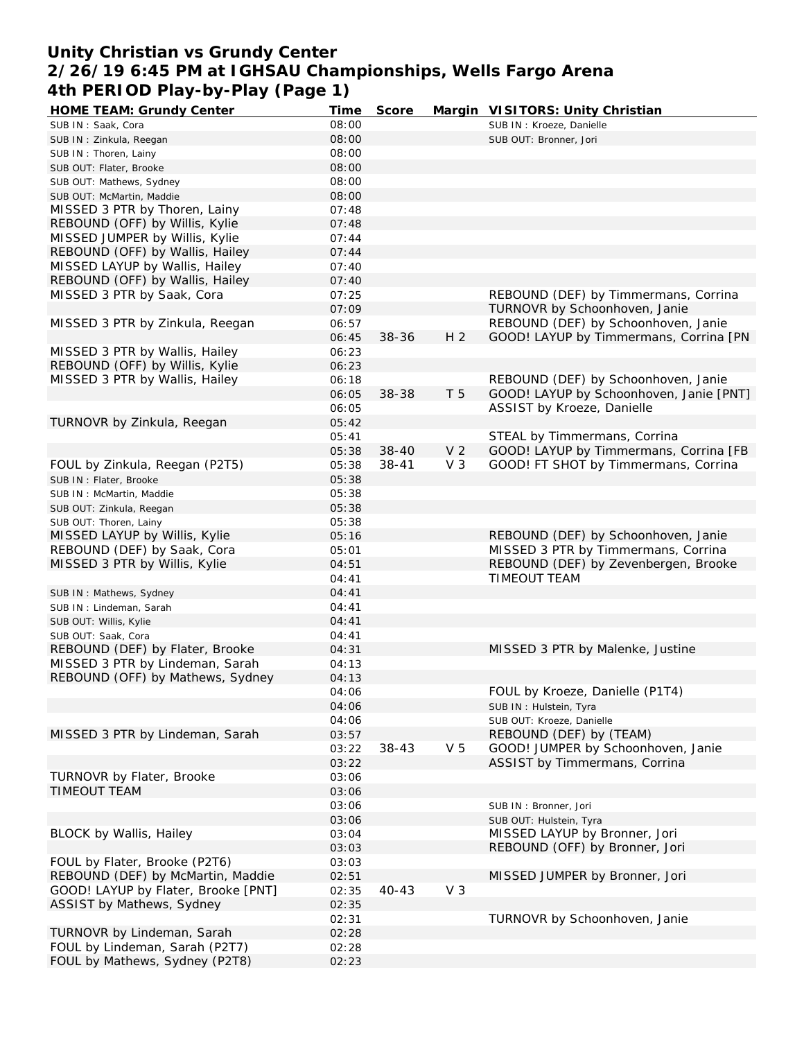### **Unity Christian vs Grundy Center 2/26/19 6:45 PM at IGHSAU Championships, Wells Fargo Arena 4th PERIOD Play-by-Play (Page 1)**

| <b>HOME TEAM: Grundy Center</b>     | Time  | Score     |                | Margin VISITORS: Unity Christian        |
|-------------------------------------|-------|-----------|----------------|-----------------------------------------|
| SUB IN: Saak, Cora                  | 08:00 |           |                | SUB IN : Kroeze, Danielle               |
| SUB IN: Zinkula, Reegan             | 08:00 |           |                | SUB OUT: Bronner, Jori                  |
| SUB IN: Thoren, Lainy               | 08:00 |           |                |                                         |
| SUB OUT: Flater, Brooke             | 08:00 |           |                |                                         |
| SUB OUT: Mathews, Sydney            | 08:00 |           |                |                                         |
| SUB OUT: McMartin, Maddie           | 08:00 |           |                |                                         |
| MISSED 3 PTR by Thoren, Lainy       | 07:48 |           |                |                                         |
| REBOUND (OFF) by Willis, Kylie      | 07:48 |           |                |                                         |
| MISSED JUMPER by Willis, Kylie      | 07:44 |           |                |                                         |
| REBOUND (OFF) by Wallis, Hailey     | 07:44 |           |                |                                         |
| MISSED LAYUP by Wallis, Hailey      | 07:40 |           |                |                                         |
| REBOUND (OFF) by Wallis, Hailey     | 07:40 |           |                |                                         |
| MISSED 3 PTR by Saak, Cora          | 07:25 |           |                | REBOUND (DEF) by Timmermans, Corrina    |
|                                     | 07:09 |           |                | TURNOVR by Schoonhoven, Janie           |
| MISSED 3 PTR by Zinkula, Reegan     | 06:57 |           |                | REBOUND (DEF) by Schoonhoven, Janie     |
|                                     | 06:45 | 38-36     | H <sub>2</sub> | GOOD! LAYUP by Timmermans, Corrina [PN  |
| MISSED 3 PTR by Wallis, Hailey      | 06:23 |           |                |                                         |
| REBOUND (OFF) by Willis, Kylie      | 06:23 |           |                |                                         |
| MISSED 3 PTR by Wallis, Hailey      | 06:18 |           |                | REBOUND (DEF) by Schoonhoven, Janie     |
|                                     |       | 38-38     | T 5            |                                         |
|                                     | 06:05 |           |                | GOOD! LAYUP by Schoonhoven, Janie [PNT] |
|                                     | 06:05 |           |                | ASSIST by Kroeze, Danielle              |
| TURNOVR by Zinkula, Reegan          | 05:42 |           |                |                                         |
|                                     | 05:41 |           |                | STEAL by Timmermans, Corrina            |
|                                     | 05:38 | $38 - 40$ | V <sub>2</sub> | GOOD! LAYUP by Timmermans, Corrina [FB  |
| FOUL by Zinkula, Reegan (P2T5)      | 05:38 | $38 - 41$ | $V_3$          | GOOD! FT SHOT by Timmermans, Corrina    |
| SUB IN: Flater, Brooke              | 05:38 |           |                |                                         |
| SUB IN: McMartin, Maddie            | 05:38 |           |                |                                         |
| SUB OUT: Zinkula, Reegan            | 05:38 |           |                |                                         |
| SUB OUT: Thoren, Lainy              | 05:38 |           |                |                                         |
| MISSED LAYUP by Willis, Kylie       | 05:16 |           |                | REBOUND (DEF) by Schoonhoven, Janie     |
| REBOUND (DEF) by Saak, Cora         | 05:01 |           |                | MISSED 3 PTR by Timmermans, Corrina     |
| MISSED 3 PTR by Willis, Kylie       | 04:51 |           |                | REBOUND (DEF) by Zevenbergen, Brooke    |
|                                     | 04:41 |           |                | <b>TIMEOUT TEAM</b>                     |
| SUB IN: Mathews, Sydney             | 04:41 |           |                |                                         |
| SUB IN: Lindeman, Sarah             | 04:41 |           |                |                                         |
| SUB OUT: Willis, Kylie              | 04:41 |           |                |                                         |
| SUB OUT: Saak, Cora                 | 04:41 |           |                |                                         |
| REBOUND (DEF) by Flater, Brooke     | 04:31 |           |                | MISSED 3 PTR by Malenke, Justine        |
| MISSED 3 PTR by Lindeman, Sarah     | 04:13 |           |                |                                         |
| REBOUND (OFF) by Mathews, Sydney    | 04:13 |           |                |                                         |
|                                     | 04:06 |           |                | FOUL by Kroeze, Danielle (P1T4)         |
|                                     | 04:06 |           |                | SUB IN: Hulstein, Tyra                  |
|                                     | 04:06 |           |                | SUB OUT: Kroeze, Danielle               |
| MISSED 3 PTR by Lindeman, Sarah     | 03:57 |           |                | REBOUND (DEF) by (TEAM)                 |
|                                     | 03:22 | $38 - 43$ | V <sub>5</sub> | GOOD! JUMPER by Schoonhoven, Janie      |
|                                     | 03:22 |           |                | ASSIST by Timmermans, Corrina           |
| TURNOVR by Flater, Brooke           | 03:06 |           |                |                                         |
| <b>TIMEOUT TEAM</b>                 | 03:06 |           |                |                                         |
|                                     | 03:06 |           |                | SUB IN: Bronner, Jori                   |
|                                     | 03:06 |           |                | SUB OUT: Hulstein, Tyra                 |
| <b>BLOCK by Wallis, Hailey</b>      | 03:04 |           |                | MISSED LAYUP by Bronner, Jori           |
|                                     | 03:03 |           |                | REBOUND (OFF) by Bronner, Jori          |
| FOUL by Flater, Brooke (P2T6)       | 03:03 |           |                |                                         |
| REBOUND (DEF) by McMartin, Maddie   |       |           |                |                                         |
|                                     | 02:51 |           |                | MISSED JUMPER by Bronner, Jori          |
| GOOD! LAYUP by Flater, Brooke [PNT] | 02:35 | $40 - 43$ | V <sub>3</sub> |                                         |
| ASSIST by Mathews, Sydney           | 02:35 |           |                |                                         |
|                                     | 02:31 |           |                | TURNOVR by Schoonhoven, Janie           |
| TURNOVR by Lindeman, Sarah          | 02:28 |           |                |                                         |
| FOUL by Lindeman, Sarah (P2T7)      | 02:28 |           |                |                                         |
| FOUL by Mathews, Sydney (P2T8)      | 02:23 |           |                |                                         |